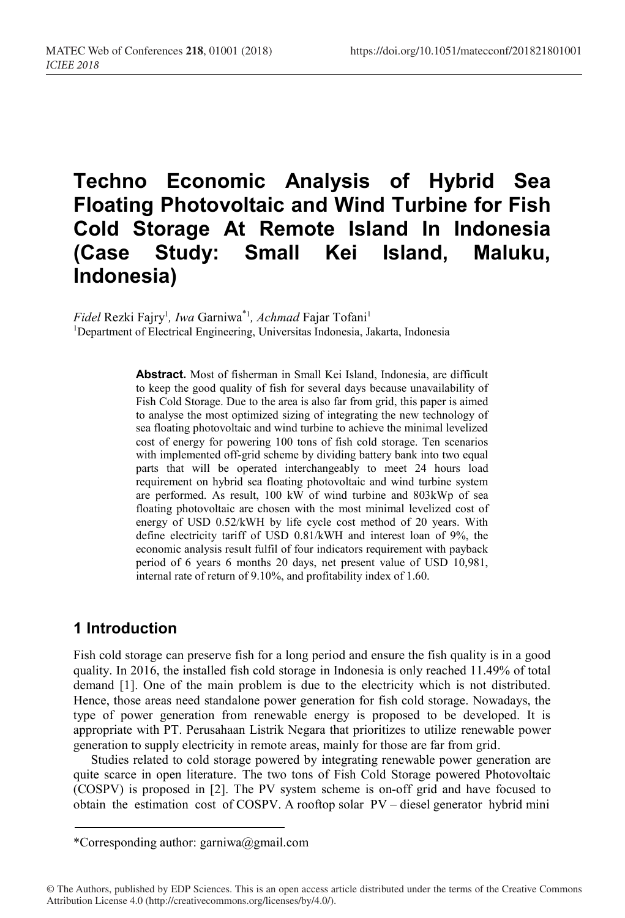# **Techno Economic Analysis of Hybrid Sea Floating Photovoltaic and Wind Turbine for Fish Cold Storage At Remote Island In Indonesia (Case Study: Small Kei Island, Maluku, Indonesia)**

*Fidel* Rezki Fajry<sup>1</sup>, *Iwa* Garniwa<sup>\*1</sup>, *Achmad* Fajar Tofani<sup>1</sup>

<sup>1</sup>Department of Electrical Engineering, Universitas Indonesia, Jakarta, Indonesia

**Abstract.** Most of fisherman in Small Kei Island, Indonesia, are difficult to keep the good quality of fish for several days because unavailability of Fish Cold Storage. Due to the area is also far from grid, this paper is aimed to analyse the most optimized sizing of integrating the new technology of sea floating photovoltaic and wind turbine to achieve the minimal levelized cost of energy for powering 100 tons of fish cold storage. Ten scenarios with implemented off-grid scheme by dividing battery bank into two equal parts that will be operated interchangeably to meet 24 hours load requirement on hybrid sea floating photovoltaic and wind turbine system are performed. As result, 100 kW of wind turbine and 803kWp of sea floating photovoltaic are chosen with the most minimal levelized cost of energy of USD 0.52/kWH by life cycle cost method of 20 years. With define electricity tariff of USD 0.81/kWH and interest loan of 9%, the economic analysis result fulfil of four indicators requirement with payback period of 6 years 6 months 20 days, net present value of USD 10,981, internal rate of return of 9.10%, and profitability index of 1.60.

# **1 Introduction**

Fish cold storage can preserve fish for a long period and ensure the fish quality is in a good quality. In 2016, the installed fish cold storage in Indonesia is only reached 11.49% of total demand [1]. One of the main problem is due to the electricity which is not distributed. Hence, those areas need standalone power generation for fish cold storage. Nowadays, the type of power generation from renewable energy is proposed to be developed. It is appropriate with PT. Perusahaan Listrik Negara that prioritizes to utilize renewable power generation to supply electricity in remote areas, mainly for those are far from grid.

Studies related to cold storage powered by integrating renewable power generation are quite scarce in open literature. The two tons of Fish Cold Storage powered Photovoltaic (COSPV) is proposed in [2]. The PV system scheme is on-off grid and have focused to obtain the estimation cost of COSPV. A rooftop solar PV – diesel generator hybrid mini

<sup>\*</sup>Corresponding author: garniwa@gmail.com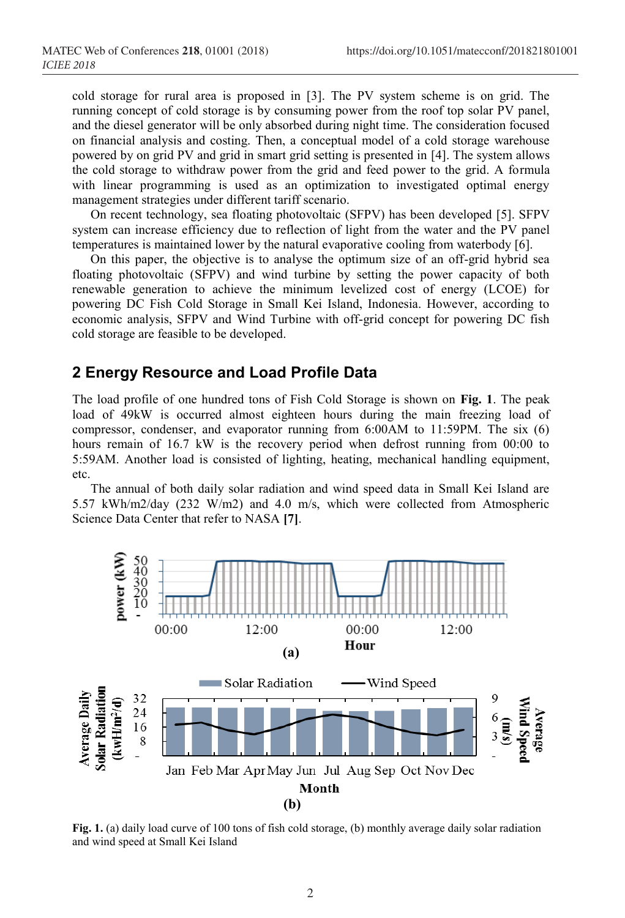cold storage for rural area is proposed in [3]. The PV system scheme is on grid. The running concept of cold storage is by consuming power from the roof top solar PV panel, and the diesel generator will be only absorbed during night time. The consideration focused on financial analysis and costing. Then, a conceptual model of a cold storage warehouse powered by on grid PV and grid in smart grid setting is presented in [4]. The system allows the cold storage to withdraw power from the grid and feed power to the grid. A formula with linear programming is used as an optimization to investigated optimal energy management strategies under different tariff scenario.

On recent technology, sea floating photovoltaic (SFPV) has been developed [5]. SFPV system can increase efficiency due to reflection of light from the water and the PV panel temperatures is maintained lower by the natural evaporative cooling from waterbody [6].

On this paper, the objective is to analyse the optimum size of an off-grid hybrid sea floating photovoltaic (SFPV) and wind turbine by setting the power capacity of both renewable generation to achieve the minimum levelized cost of energy (LCOE) for powering DC Fish Cold Storage in Small Kei Island, Indonesia. However, according to economic analysis, SFPV and Wind Turbine with off-grid concept for powering DC fish cold storage are feasible to be developed.

#### **2 Energy Resource and Load Profile Data**

The load profile of one hundred tons of Fish Cold Storage is shown on **Fig. 1**. The peak load of 49kW is occurred almost eighteen hours during the main freezing load of compressor, condenser, and evaporator running from 6:00AM to 11:59PM. The six (6) hours remain of 16.7 kW is the recovery period when defrost running from 00:00 to 5:59AM. Another load is consisted of lighting, heating, mechanical handling equipment, etc.

The annual of both daily solar radiation and wind speed data in Small Kei Island are 5.57 kWh/m2/day (232 W/m2) and 4.0 m/s, which were collected from Atmospheric Science Data Center that refer to NASA **[7]**.



**Fig. 1.** (a) daily load curve of 100 tons of fish cold storage, (b) monthly average daily solar radiation and wind speed at Small Kei Island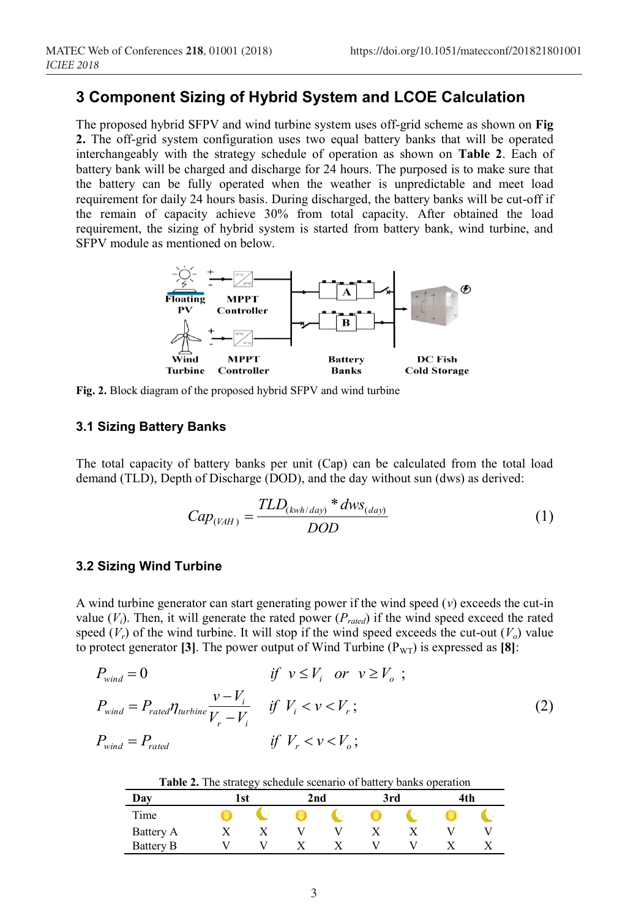## **3 Component Sizing of Hybrid System and LCOE Calculation**

The proposed hybrid SFPV and wind turbine system uses off-grid scheme as shown on **Fig 2.** The off-grid system configuration uses two equal battery banks that will be operated interchangeably with the strategy schedule of operation as shown on **Table 2**. Each of battery bank will be charged and discharge for 24 hours. The purposed is to make sure that the battery can be fully operated when the weather is unpredictable and meet load requirement for daily 24 hours basis. During discharged, the battery banks will be cut-off if the remain of capacity achieve 30% from total capacity. After obtained the load requirement, the sizing of hybrid system is started from battery bank, wind turbine, and SFPV module as mentioned on below.



**Fig. 2.** Block diagram of the proposed hybrid SFPV and wind turbine

#### **3.1 Sizing Battery Banks**

The total capacity of battery banks per unit (Cap) can be calculated from the total load demand (TLD), Depth of Discharge (DOD), and the day without sun (dws) as derived:

$$
Cap_{(VAH)} = \frac{TLD_{(kwh/day)} * dws_{(day)}}{DOD}
$$
 (1)

#### **3.2 Sizing Wind Turbine**

A wind turbine generator can start generating power if the wind speed (*v*) exceeds the cut-in value  $(V_i)$ . Then, it will generate the rated power  $(P_{rated})$  if the wind speed exceed the rated speed  $(V_r)$  of the wind turbine. It will stop if the wind speed exceeds the cut-out  $(V_o)$  value to protect generator **[3]**. The power output of Wind Turbine ( $P_{\text{WT}}$ ) is expressed as **[8]**:

$$
P_{wind} = 0 \t\t \text{if } v \le V_i \text{ or } v \ge V_o ;
$$
  
\n
$$
P_{wind} = P_{rated} \eta_{urbin} \frac{v - V_i}{V_r - V_i} \t\t \text{if } V_i < v < V_r ;
$$
  
\n
$$
P_{wind} = P_{rated} \t\t \text{if } V_r < v < V_o ;
$$
  
\n(2)

**Table 2.** The strategy schedule scenario of battery banks operation

|                  |      | -- |     |     |     |  |
|------------------|------|----|-----|-----|-----|--|
| Day              | l st |    | 2nd | 3rd | 4th |  |
| Time             |      |    |     |     |     |  |
| Battery A        |      |    |     |     |     |  |
| <b>Battery B</b> |      |    |     |     |     |  |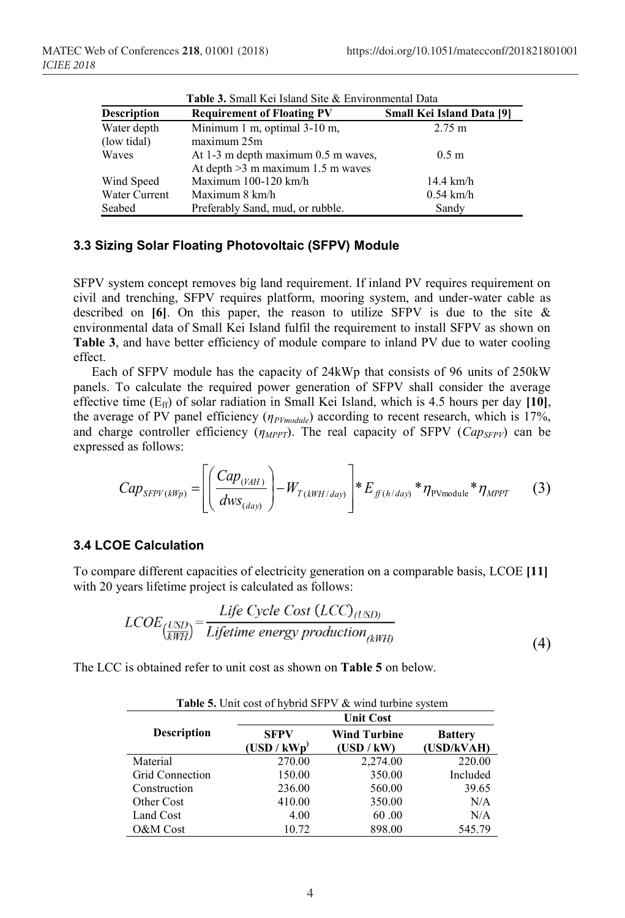| Description   | <b>Requirement of Floating PV</b>   | <b>Small Kei Island Data [9]</b> |
|---------------|-------------------------------------|----------------------------------|
| Water depth   | Minimum 1 m, optimal 3-10 m,        | $2.75 \text{ m}$                 |
| (low tidal)   | maximum 25m                         |                                  |
| Waves         | At 1-3 m depth maximum 0.5 m waves, | 0.5 <sub>m</sub>                 |
|               | At depth $>3$ m maximum 1.5 m waves |                                  |
| Wind Speed    | Maximum $100-120$ km/h              | $14.4 \text{ km/h}$              |
| Water Current | Maximum 8 km/h                      | $0.54$ km/h                      |
| Seabed        | Preferably Sand, mud, or rubble.    | Sandy                            |

| <b>Table 3.</b> Small Kei Island Site & Environmental Data |  |
|------------------------------------------------------------|--|
|------------------------------------------------------------|--|

#### **3.3 Sizing Solar Floating Photovoltaic (SFPV) Module**

SFPV system concept removes big land requirement. If inland PV requires requirement on civil and trenching, SFPV requires platform, mooring system, and under-water cable as described on **[6]**. On this paper, the reason to utilize SFPV is due to the site & environmental data of Small Kei Island fulfil the requirement to install SFPV as shown on **Table 3**, and have better efficiency of module compare to inland PV due to water cooling effect.

Each of SFPV module has the capacity of 24kWp that consists of 96 units of 250kW panels. To calculate the required power generation of SFPV shall consider the average effective time (Eff) of solar radiation in Small Kei Island, which is 4.5 hours per day **[10]**, the average of PV panel efficiency (*ηPVmodule*) according to recent research, which is 17%, and charge controller efficiency  $(\eta_{MPPT})$ . The real capacity of SFPV  $(\text{Cap}_{SFPV})$  can be expressed as follows:

$$
Cap_{SFPV(kWp)} = \left[ \left( \frac{Cap_{(VAH)}}{dws_{(day)}} \right) - W_{T(kWH/day)} \right] * E_{f(t)/day)} * \eta_{\text{pvmodule}} * \eta_{MPPT} \qquad (3)
$$

#### **3.4 LCOE Calculation**

To compare different capacities of electricity generation on a comparable basis, LCOE **[11]** with 20 years lifetime project is calculated as follows:

$$
LCOE_{\left(\frac{USD}{kWH}\right)} = \frac{Life\ Cycle\ Cost\ (LCC)_{(USD)}}{Lifetime\ energy\ production_{(kWH)}}
$$
\n(4)

The LCC is obtained refer to unit cost as shown on **Table 5** on below.

| <b>Table 5.</b> Unit cost of hybrid SFPV & wind turbine system |                            |                                   |                              |  |  |  |  |
|----------------------------------------------------------------|----------------------------|-----------------------------------|------------------------------|--|--|--|--|
|                                                                |                            | <b>Unit Cost</b>                  |                              |  |  |  |  |
| <b>Description</b>                                             | <b>SFPV</b><br>(USD / kWp) | <b>Wind Turbine</b><br>(USD / kW) | <b>Battery</b><br>(USD/kVAH) |  |  |  |  |
| Material                                                       | 270.00                     | 2,274.00                          | 220.00                       |  |  |  |  |
| <b>Grid Connection</b>                                         | 150.00                     | 350.00                            | Included                     |  |  |  |  |
| Construction                                                   | 236.00                     | 560.00                            | 39.65                        |  |  |  |  |
| Other Cost                                                     | 410.00                     | 350.00                            | N/A                          |  |  |  |  |
| Land Cost                                                      | 4.00                       | 60.00                             | N/A                          |  |  |  |  |
| O&M Cost                                                       | 10.72                      | 898.00                            | 545.79                       |  |  |  |  |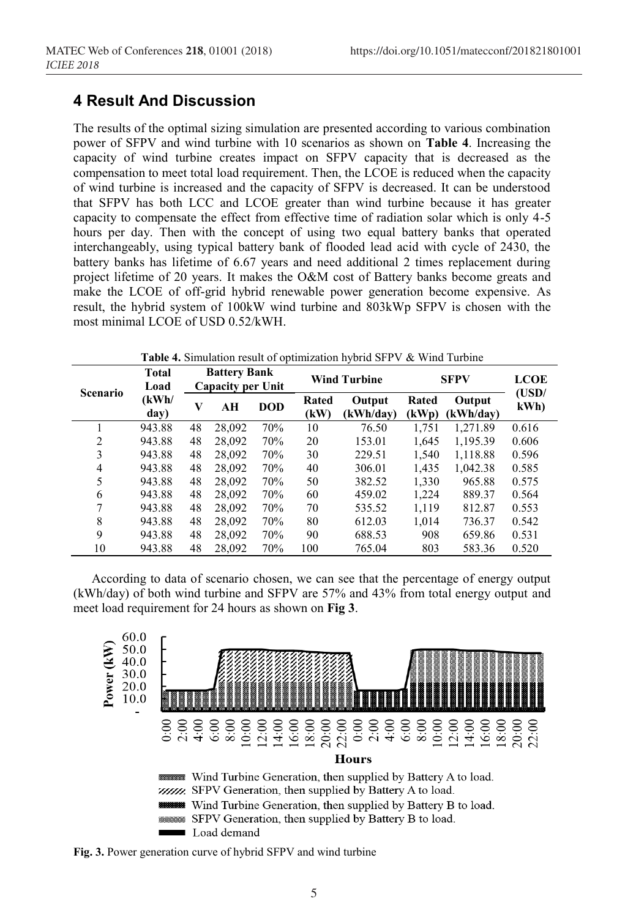### **4 Result And Discussion**

The results of the optimal sizing simulation are presented according to various combination power of SFPV and wind turbine with 10 scenarios as shown on **Table 4**. Increasing the capacity of wind turbine creates impact on SFPV capacity that is decreased as the compensation to meet total load requirement. Then, the LCOE is reduced when the capacity of wind turbine is increased and the capacity of SFPV is decreased. It can be understood that SFPV has both LCC and LCOE greater than wind turbine because it has greater capacity to compensate the effect from effective time of radiation solar which is only 4-5 hours per day. Then with the concept of using two equal battery banks that operated interchangeably, using typical battery bank of flooded lead acid with cycle of 2430, the battery banks has lifetime of 6.67 years and need additional 2 times replacement during project lifetime of 20 years. It makes the O&M cost of Battery banks become greats and make the LCOE of off-grid hybrid renewable power generation become expensive. As result, the hybrid system of 100kW wind turbine and 803kWp SFPV is chosen with the most minimal LCOE of USD 0.52/kWH.

| <b>Scenario</b> | <b>Total</b><br>Load |    | <b>Battery Bank</b><br><b>Capacity per Unit</b> |            | <b>Wind Turbine</b> |                     | <b>SFPV</b>    |                     | <b>LCOE</b><br>(USD/ |
|-----------------|----------------------|----|-------------------------------------------------|------------|---------------------|---------------------|----------------|---------------------|----------------------|
|                 | (kWh/<br>day)        | V  | AН                                              | <b>DOD</b> | Rated<br>(kW)       | Output<br>(kWh/dav) | Rated<br>(kWp) | Output<br>(kWh/day) | kWh                  |
|                 | 943.88               | 48 | 28,092                                          | 70%        | 10                  | 76.50               | 1.751          | 1.271.89            | 0.616                |
| 2               | 943.88               | 48 | 28,092                                          | 70%        | 20                  | 153.01              | 1.645          | 1,195.39            | 0.606                |
| 3               | 943.88               | 48 | 28,092                                          | 70%        | 30                  | 229.51              | 1,540          | 1,118.88            | 0.596                |
| 4               | 943.88               | 48 | 28,092                                          | 70%        | 40                  | 306.01              | 1,435          | 1,042.38            | 0.585                |
| 5               | 943.88               | 48 | 28,092                                          | 70%        | 50                  | 382.52              | 1,330          | 965.88              | 0.575                |
| 6               | 943.88               | 48 | 28,092                                          | 70%        | 60                  | 459.02              | 1,224          | 889.37              | 0.564                |
| 7               | 943.88               | 48 | 28,092                                          | 70%        | 70                  | 535.52              | 1.119          | 812.87              | 0.553                |
| 8               | 943.88               | 48 | 28,092                                          | 70%        | 80                  | 612.03              | 1,014          | 736.37              | 0.542                |
| 9               | 943.88               | 48 | 28,092                                          | 70%        | 90                  | 688.53              | 908            | 659.86              | 0.531                |
| 10              | 943.88               | 48 | 28.092                                          | 70%        | 100                 | 765.04              | 803            | 583.36              | 0.520                |

**Table 4.** Simulation result of optimization hybrid SFPV & Wind Turbine

According to data of scenario chosen, we can see that the percentage of energy output (kWh/day) of both wind turbine and SFPV are 57% and 43% from total energy output and meet load requirement for 24 hours as shown on **Fig 3**.



**Fig. 3.** Power generation curve of hybrid SFPV and wind turbine